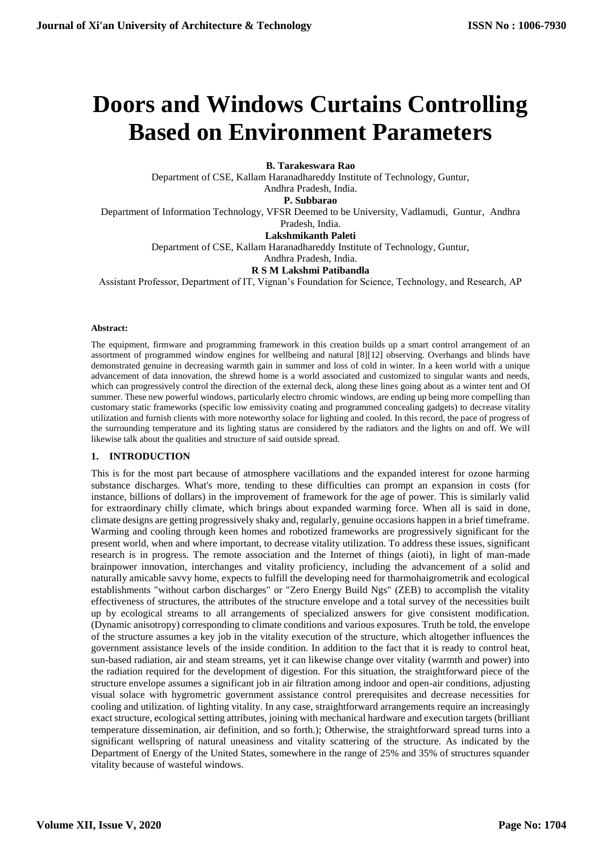# **Doors and Windows Curtains Controlling Based on Environment Parameters**

**B. Tarakeswara Rao**

Department of CSE, Kallam Haranadhareddy Institute of Technology, Guntur, Andhra Pradesh, India. **P. Subbarao** 

Department of Information Technology, VFSR Deemed to be University, Vadlamudi, Guntur, Andhra

Pradesh, India.

**[Lakshmikanth Paleti](https://ieeexplore.ieee.org/search/searchresult.jsp?searchWithin=%22First%20Name%22:%22Lakshmikanth%22&searchWithin=%22Last%20Name%22:%22Paleti%22&newsearch=true&sortType=newest)**

Department of CSE, Kallam Haranadhareddy Institute of Technology, Guntur,

Andhra Pradesh, India. **R S M Lakshmi Patibandla**

Assistant Professor, Department of IT, Vignan's Foundation for Science, Technology, and Research, AP

#### **Abstract:**

The equipment, firmware and programming framework in this creation builds up a smart control arrangement of an assortment of programmed window engines for wellbeing and natural [8][12] observing. Overhangs and blinds have demonstrated genuine in decreasing warmth gain in summer and loss of cold in winter. In a keen world with a unique advancement of data innovation, the shrewd home is a world associated and customized to singular wants and needs, which can progressively control the direction of the external deck, along these lines going about as a winter tent and Of summer. These new powerful windows, particularly electro chromic windows, are ending up being more compelling than customary static frameworks (specific low emissivity coating and programmed concealing gadgets) to decrease vitality utilization and furnish clients with more noteworthy solace for lighting and cooled. In this record, the pace of progress of the surrounding temperature and its lighting status are considered by the radiators and the lights on and off. We will likewise talk about the qualities and structure of said outside spread.

#### **1. INTRODUCTION**

This is for the most part because of atmosphere vacillations and the expanded interest for ozone harming substance discharges. What's more, tending to these difficulties can prompt an expansion in costs (for instance, billions of dollars) in the improvement of framework for the age of power. This is similarly valid for extraordinary chilly climate, which brings about expanded warming force. When all is said in done, climate designs are getting progressively shaky and, regularly, genuine occasions happen in a brief timeframe. Warming and cooling through keen homes and robotized frameworks are progressively significant for the present world, when and where important, to decrease vitality utilization. To address these issues, significant research is in progress. The remote association and the Internet of things (aioti), in light of man-made brainpower innovation, interchanges and vitality proficiency, including the advancement of a solid and naturally amicable savvy home, expects to fulfill the developing need for tharmohaigrometrik and ecological establishments "without carbon discharges" or "Zero Energy Build Ngs" (ZEB) to accomplish the vitality effectiveness of structures, the attributes of the structure envelope and a total survey of the necessities built up by ecological streams to all arrangements of specialized answers for give consistent modification. (Dynamic anisotropy) corresponding to climate conditions and various exposures. Truth be told, the envelope of the structure assumes a key job in the vitality execution of the structure, which altogether influences the government assistance levels of the inside condition. In addition to the fact that it is ready to control heat, sun-based radiation, air and steam streams, yet it can likewise change over vitality (warmth and power) into the radiation required for the development of digestion. For this situation, the straightforward piece of the structure envelope assumes a significant job in air filtration among indoor and open-air conditions, adjusting visual solace with hygrometric government assistance control prerequisites and decrease necessities for cooling and utilization. of lighting vitality. In any case, straightforward arrangements require an increasingly exact structure, ecological setting attributes, joining with mechanical hardware and execution targets (brilliant temperature dissemination, air definition, and so forth.); Otherwise, the straightforward spread turns into a significant wellspring of natural uneasiness and vitality scattering of the structure. As indicated by the Department of Energy of the United States, somewhere in the range of 25% and 35% of structures squander vitality because of wasteful windows.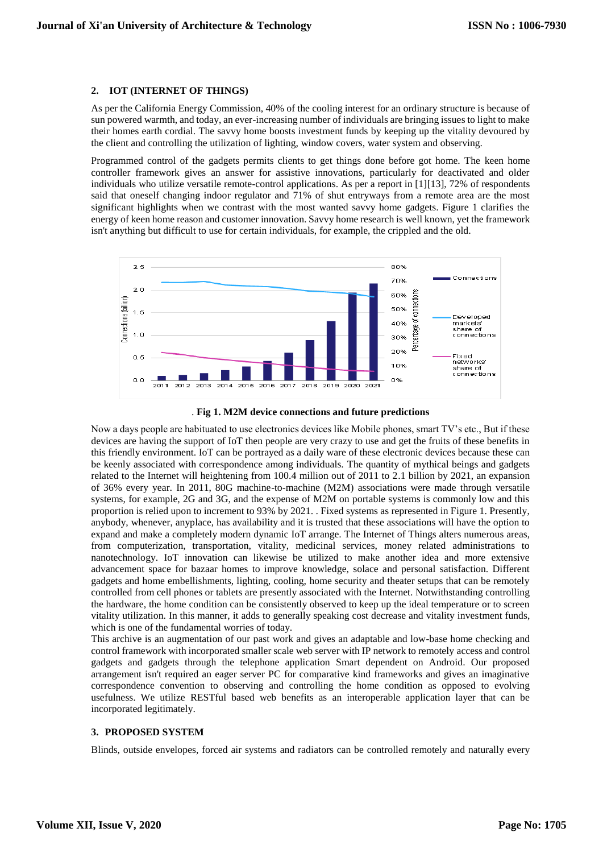#### **2. IOT (INTERNET OF THINGS)**

As per the California Energy Commission, 40% of the cooling interest for an ordinary structure is because of sun powered warmth, and today, an ever-increasing number of individuals are bringing issues to light to make their homes earth cordial. The savvy home boosts investment funds by keeping up the vitality devoured by the client and controlling the utilization of lighting, window covers, water system and observing.

Programmed control of the gadgets permits clients to get things done before got home. The keen home controller framework gives an answer for assistive innovations, particularly for deactivated and older individuals who utilize versatile remote-control applications. As per a report in [1][13], 72% of respondents said that oneself changing indoor regulator and 71% of shut entryways from a remote area are the most significant highlights when we contrast with the most wanted savvy home gadgets. Figure 1 clarifies the energy of keen home reason and customer innovation. Savvy home research is well known, yet the framework isn't anything but difficult to use for certain individuals, for example, the crippled and the old.





Now a days people are habituated to use electronics devices like Mobile phones, smart TV's etc., But if these devices are having the support of IoT then people are very crazy to use and get the fruits of these benefits in this friendly environment. IoT can be portrayed as a daily ware of these electronic devices because these can be keenly associated with correspondence among individuals. The quantity of mythical beings and gadgets related to the Internet will heightening from 100.4 million out of 2011 to 2.1 billion by 2021, an expansion of 36% every year. In 2011, 80G machine-to-machine (M2M) associations were made through versatile systems, for example, 2G and 3G, and the expense of M2M on portable systems is commonly low and this proportion is relied upon to increment to 93% by 2021. . Fixed systems as represented in Figure 1. Presently, anybody, whenever, anyplace, has availability and it is trusted that these associations will have the option to expand and make a completely modern dynamic IoT arrange. The Internet of Things alters numerous areas, from computerization, transportation, vitality, medicinal services, money related administrations to nanotechnology. IoT innovation can likewise be utilized to make another idea and more extensive advancement space for bazaar homes to improve knowledge, solace and personal satisfaction. Different gadgets and home embellishments, lighting, cooling, home security and theater setups that can be remotely controlled from cell phones or tablets are presently associated with the Internet. Notwithstanding controlling the hardware, the home condition can be consistently observed to keep up the ideal temperature or to screen vitality utilization. In this manner, it adds to generally speaking cost decrease and vitality investment funds, which is one of the fundamental worries of today.

This archive is an augmentation of our past work and gives an adaptable and low-base home checking and control framework with incorporated smaller scale web server with IP network to remotely access and control gadgets and gadgets through the telephone application Smart dependent on Android. Our proposed arrangement isn't required an eager server PC for comparative kind frameworks and gives an imaginative correspondence convention to observing and controlling the home condition as opposed to evolving usefulness. We utilize RESTful based web benefits as an interoperable application layer that can be incorporated legitimately.

#### **3. PROPOSED SYSTEM**

Blinds, outside envelopes, forced air systems and radiators can be controlled remotely and naturally every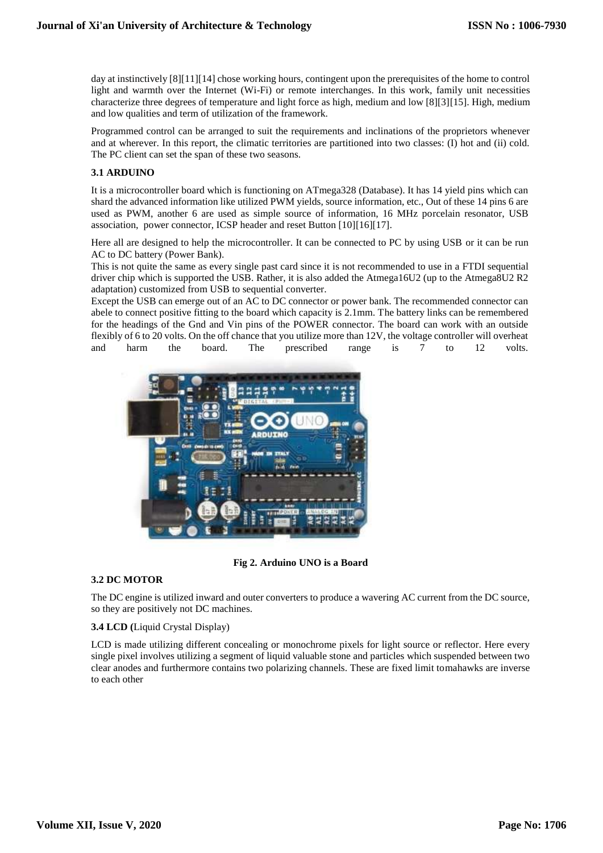day at instinctively [8][11][14] chose working hours, contingent upon the prerequisites of the home to control light and warmth over the Internet (Wi-Fi) or remote interchanges. In this work, family unit necessities characterize three degrees of temperature and light force as high, medium and low [8][3][15]. High, medium and low qualities and term of utilization of the framework.

Programmed control can be arranged to suit the requirements and inclinations of the proprietors whenever and at wherever. In this report, the climatic territories are partitioned into two classes: (I) hot and (ii) cold. The PC client can set the span of these two seasons.

## **3.1 ARDUINO**

It is a microcontroller board which is functioning on ATmega328 (Database). It has 14 yield pins which can shard the advanced information like utilized PWM yields, source information, etc., Out of these 14 pins 6 are used as PWM, another 6 are used as simple source of information, 16 MHz porcelain resonator, USB association, power connector, ICSP header and reset Button [10][16][17].

Here all are designed to help the microcontroller. It can be connected to PC by using USB or it can be run AC to DC battery (Power Bank).

This is not quite the same as every single past card since it is not recommended to use in a FTDI sequential driver chip which is supported the USB. Rather, it is also added the Atmega16U2 (up to the Atmega8U2 R2 adaptation) customized from USB to sequential converter.

Except the USB can emerge out of an AC to DC connector or power bank. The recommended connector can abele to connect positive fitting to the board which capacity is 2.1mm. The battery links can be remembered for the headings of the Gnd and Vin pins of the POWER connector. The board can work with an outside flexibly of 6 to 20 volts. On the off chance that you utilize more than 12V, the voltage controller will overheat and harm the board. The prescribed range is 7 to 12 volts.



 **Fig 2. Arduino UNO is a Board**

#### **3.2 DC MOTOR**

The DC engine is utilized inward and outer converters to produce a wavering AC current from the DC source, so they are positively not DC machines.

#### **3.4 LCD (**Liquid Crystal Display)

LCD is made utilizing different concealing or monochrome pixels for light source or reflector. Here every single pixel involves utilizing a segment of liquid valuable stone and particles which suspended between two clear anodes and furthermore contains two polarizing channels. These are fixed limit tomahawks are inverse to each other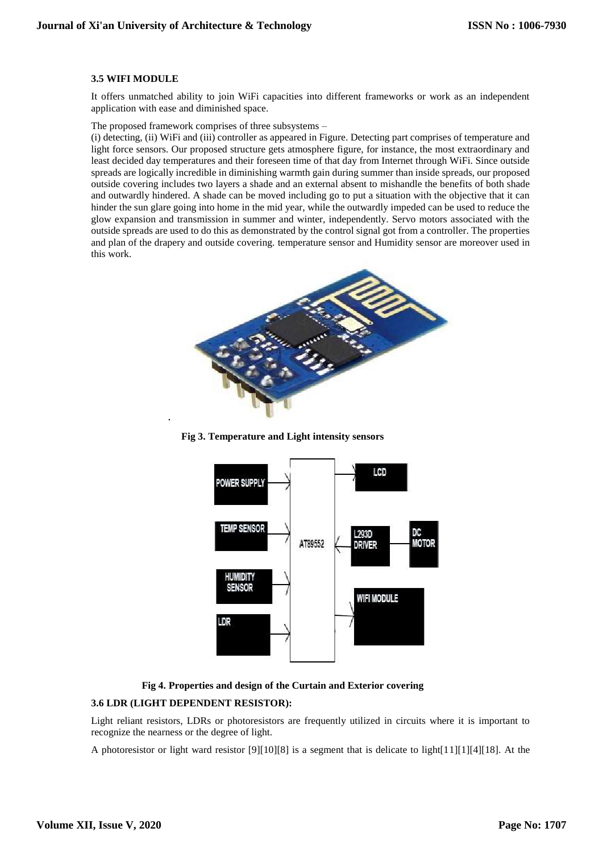#### **3.5 WIFI MODULE**

It offers unmatched ability to join WiFi capacities into different frameworks or work as an independent application with ease and diminished space.

#### The proposed framework comprises of three subsystems –

(i) detecting, (ii) WiFi and (iii) controller as appeared in Figure. Detecting part comprises of temperature and light force sensors. Our proposed structure gets atmosphere figure, for instance, the most extraordinary and least decided day temperatures and their foreseen time of that day from Internet through WiFi. Since outside spreads are logically incredible in diminishing warmth gain during summer than inside spreads, our proposed outside covering includes two layers a shade and an external absent to mishandle the benefits of both shade and outwardly hindered. A shade can be moved including go to put a situation with the objective that it can hinder the sun glare going into home in the mid year, while the outwardly impeded can be used to reduce the glow expansion and transmission in summer and winter, independently. Servo motors associated with the outside spreads are used to do this as demonstrated by the control signal got from a controller. The properties and plan of the drapery and outside covering. temperature sensor and Humidity sensor are moreover used in this work.







**Fig 4. Properties and design of the Curtain and Exterior covering**

#### **3.6 LDR (LIGHT DEPENDENT RESISTOR):**

.

Light reliant resistors, LDRs or photoresistors are frequently utilized in circuits where it is important to recognize the nearness or the degree of light.

A photoresistor or light ward resistor [9][10][8] is a segment that is delicate to light[11][1][4][18]. At the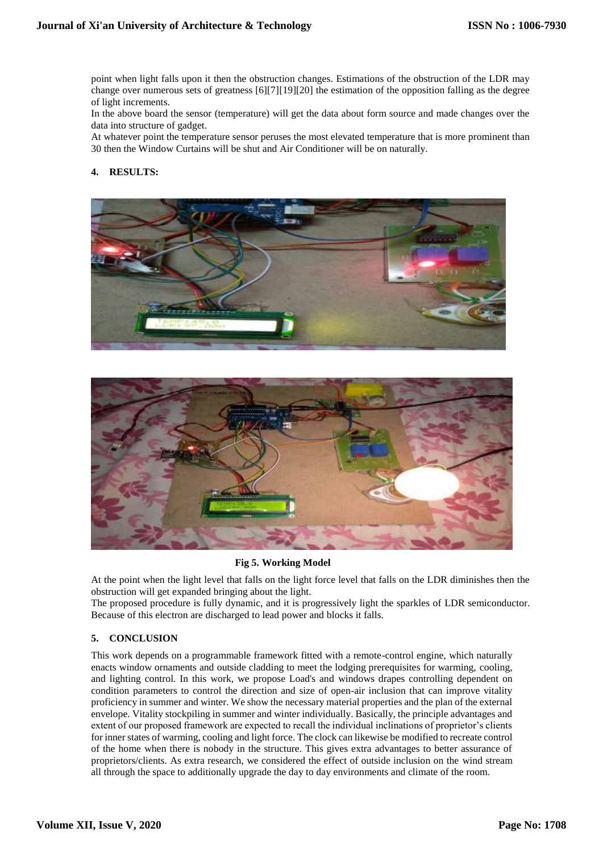point when light falls upon it then the obstruction changes. Estimations of the obstruction of the LDR may change over numerous sets of greatness [6][7][19][20] the estimation of the opposition falling as the degree of light increments.

In the above board the sensor (temperature) will get the data about form source and made changes over the data into structure of gadget.

At whatever point the temperature sensor peruses the most elevated temperature that is more prominent than 30 then the Window Curtains will be shut and Air Conditioner will be on naturally.

## **4. RESULTS:**





**Fig 5. Working Model**

At the point when the light level that falls on the light force level that falls on the LDR diminishes then the obstruction will get expanded bringing about the light.

The proposed procedure is fully dynamic, and it is progressively light the sparkles of LDR semiconductor. Because of this electron are discharged to lead power and blocks it falls.

#### **5. CONCLUSION**

This work depends on a programmable framework fitted with a remote-control engine, which naturally enacts window ornaments and outside cladding to meet the lodging prerequisites for warming, cooling, and lighting control. In this work, we propose Load's and windows drapes controlling dependent on condition parameters to control the direction and size of open-air inclusion that can improve vitality proficiency in summer and winter. We show the necessary material properties and the plan of the external envelope. Vitality stockpiling in summer and winter individually. Basically, the principle advantages and extent of our proposed framework are expected to recall the individual inclinations of proprietor's clients for inner states of warming, cooling and light force. The clock can likewise be modified to recreate control of the home when there is nobody in the structure. This gives extra advantages to better assurance of proprietors/clients. As extra research, we considered the effect of outside inclusion on the wind stream all through the space to additionally upgrade the day to day environments and climate of the room.